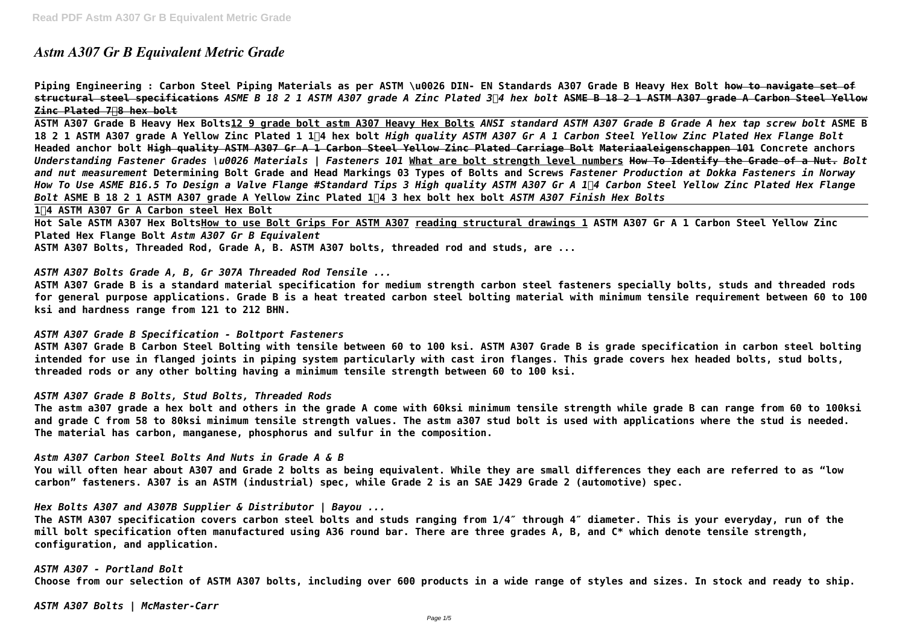# *Astm A307 Gr B Equivalent Metric Grade*

**Piping Engineering : Carbon Steel Piping Materials as per ASTM \u0026 DIN- EN Standards A307 Grade B Heavy Hex Bolt how to navigate set of structural steel specifications** *ASME B 18 2 1 ASTM A307 grade A Zinc Plated 3/4 hex bolt* **ASME B 18 2 1 ASTM A307 grade A Carbon Steel Yellow Zinc Plated 7/8 hex bolt**

**ASTM A307 Grade B Heavy Hex Bolts12 9 grade bolt astm A307 Heavy Hex Bolts** *ANSI standard ASTM A307 Grade B Grade A hex tap screw bolt* **ASME B** 18 2 1 ASTM A307 grade A Yellow Zinc Plated 1 1<sup>[</sup>4 hex bolt *High quality ASTM A307 Gr A 1 Carbon Steel Yellow Zinc Plated Hex Flange Bolt* **Headed anchor bolt High quality ASTM A307 Gr A 1 Carbon Steel Yellow Zinc Plated Carriage Bolt Materiaaleigenschappen 101 Concrete anchors** *Understanding Fastener Grades \u0026 Materials | Fasteners 101* **What are bolt strength level numbers How To Identify the Grade of a Nut.** *Bolt and nut measurement* **Determining Bolt Grade and Head Markings 03 Types of Bolts and Screws** *Fastener Production at Dokka Fasteners in Norway How To Use ASME B16.5 To Design a Valve Flange #Standard Tips 3 High quality ASTM A307 Gr A 1/4 Carbon Steel Yellow Zinc Plated Hex Flange Bolt* **ASME B 18 2 1 ASTM A307 grade A Yellow Zinc Plated 1/4 3 hex bolt hex bolt** *ASTM A307 Finish Hex Bolts*

**1/4 ASTM A307 Gr A Carbon steel Hex Bolt**

**Hot Sale ASTM A307 Hex BoltsHow to use Bolt Grips For ASTM A307 reading structural drawings 1 ASTM A307 Gr A 1 Carbon Steel Yellow Zinc Plated Hex Flange Bolt** *Astm A307 Gr B Equivalent*

**ASTM A307 Bolts, Threaded Rod, Grade A, B. ASTM A307 bolts, threaded rod and studs, are ...**

*ASTM A307 Bolts Grade A, B, Gr 307A Threaded Rod Tensile ...*

**ASTM A307 Grade B is a standard material specification for medium strength carbon steel fasteners specially bolts, studs and threaded rods for general purpose applications. Grade B is a heat treated carbon steel bolting material with minimum tensile requirement between 60 to 100 ksi and hardness range from 121 to 212 BHN.**

# *ASTM A307 Grade B Specification - Boltport Fasteners*

**ASTM A307 Grade B Carbon Steel Bolting with tensile between 60 to 100 ksi. ASTM A307 Grade B is grade specification in carbon steel bolting intended for use in flanged joints in piping system particularly with cast iron flanges. This grade covers hex headed bolts, stud bolts, threaded rods or any other bolting having a minimum tensile strength between 60 to 100 ksi.**

# *ASTM A307 Grade B Bolts, Stud Bolts, Threaded Rods*

**The astm a307 grade a hex bolt and others in the grade A come with 60ksi minimum tensile strength while grade B can range from 60 to 100ksi and grade C from 58 to 80ksi minimum tensile strength values. The astm a307 stud bolt is used with applications where the stud is needed. The material has carbon, manganese, phosphorus and sulfur in the composition.**

*Astm A307 Carbon Steel Bolts And Nuts in Grade A & B* **You will often hear about A307 and Grade 2 bolts as being equivalent. While they are small differences they each are referred to as "low carbon" fasteners. A307 is an ASTM (industrial) spec, while Grade 2 is an SAE J429 Grade 2 (automotive) spec.**

*Hex Bolts A307 and A307B Supplier & Distributor | Bayou ...*

**The ASTM A307 specification covers carbon steel bolts and studs ranging from 1/4″ through 4″ diameter. This is your everyday, run of the mill bolt specification often manufactured using A36 round bar. There are three grades A, B, and C\* which denote tensile strength, configuration, and application.**

*ASTM A307 - Portland Bolt* **Choose from our selection of ASTM A307 bolts, including over 600 products in a wide range of styles and sizes. In stock and ready to ship.**

*ASTM A307 Bolts | McMaster-Carr*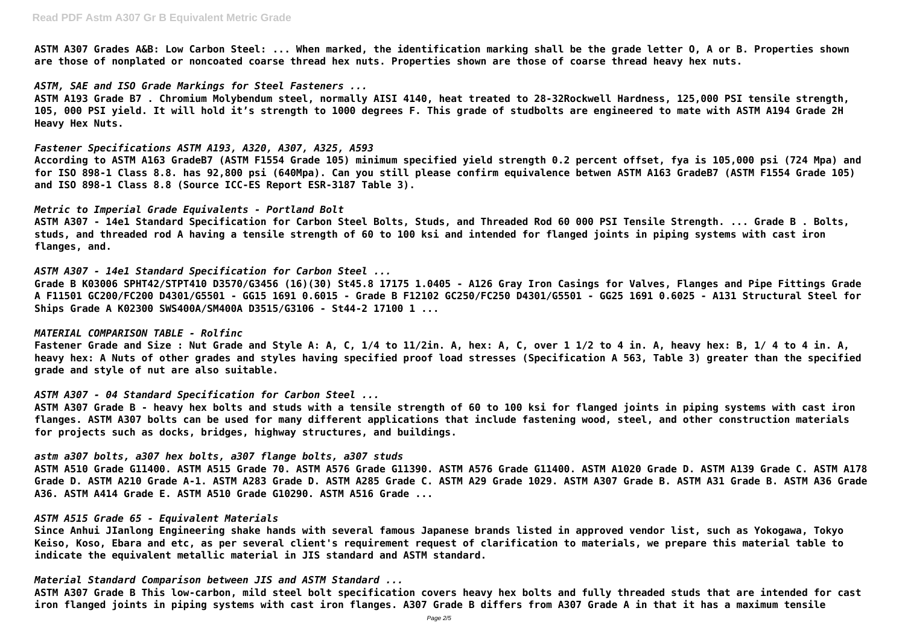**ASTM A307 Grades A&B: Low Carbon Steel: ... When marked, the identification marking shall be the grade letter O, A or B. Properties shown are those of nonplated or noncoated coarse thread hex nuts. Properties shown are those of coarse thread heavy hex nuts.**

#### *ASTM, SAE and ISO Grade Markings for Steel Fasteners ...*

**ASTM A193 Grade B7 . Chromium Molybendum steel, normally AISI 4140, heat treated to 28-32Rockwell Hardness, 125,000 PSI tensile strength, 105, 000 PSI yield. It will hold it's strength to 1000 degrees F. This grade of studbolts are engineered to mate with ASTM A194 Grade 2H Heavy Hex Nuts.**

#### *Fastener Specifications ASTM A193, A320, A307, A325, A593*

**According to ASTM A163 GradeB7 (ASTM F1554 Grade 105) minimum specified yield strength 0.2 percent offset, fya is 105,000 psi (724 Mpa) and for ISO 898-1 Class 8.8. has 92,800 psi (640Mpa). Can you still please confirm equivalence betwen ASTM A163 GradeB7 (ASTM F1554 Grade 105) and ISO 898-1 Class 8.8 (Source ICC-ES Report ESR-3187 Table 3).**

#### *Metric to Imperial Grade Equivalents - Portland Bolt*

**ASTM A307 - 14e1 Standard Specification for Carbon Steel Bolts, Studs, and Threaded Rod 60 000 PSI Tensile Strength. ... Grade B . Bolts, studs, and threaded rod A having a tensile strength of 60 to 100 ksi and intended for flanged joints in piping systems with cast iron flanges, and.**

#### *ASTM A307 - 14e1 Standard Specification for Carbon Steel ...*

**Grade B K03006 SPHT42/STPT410 D3570/G3456 (16)(30) St45.8 17175 1.0405 - A126 Gray Iron Casings for Valves, Flanges and Pipe Fittings Grade A F11501 GC200/FC200 D4301/G5501 - GG15 1691 0.6015 - Grade B F12102 GC250/FC250 D4301/G5501 - GG25 1691 0.6025 - A131 Structural Steel for Ships Grade A K02300 SWS400A/SM400A D3515/G3106 - St44-2 17100 1 ...**

#### *MATERIAL COMPARISON TABLE - Rolfinc*

**Fastener Grade and Size : Nut Grade and Style A: A, C, 1/4 to 11/2in. A, hex: A, C, over 1 1/2 to 4 in. A, heavy hex: B, 1/ 4 to 4 in. A, heavy hex: A Nuts of other grades and styles having specified proof load stresses (Specification A 563, Table 3) greater than the specified grade and style of nut are also suitable.**

# *ASTM A307 - 04 Standard Specification for Carbon Steel ...*

**ASTM A307 Grade B - heavy hex bolts and studs with a tensile strength of 60 to 100 ksi for flanged joints in piping systems with cast iron flanges. ASTM A307 bolts can be used for many different applications that include fastening wood, steel, and other construction materials for projects such as docks, bridges, highway structures, and buildings.**

# *astm a307 bolts, a307 hex bolts, a307 flange bolts, a307 studs*

**ASTM A510 Grade G11400. ASTM A515 Grade 70. ASTM A576 Grade G11390. ASTM A576 Grade G11400. ASTM A1020 Grade D. ASTM A139 Grade C. ASTM A178 Grade D. ASTM A210 Grade A-1. ASTM A283 Grade D. ASTM A285 Grade C. ASTM A29 Grade 1029. ASTM A307 Grade B. ASTM A31 Grade B. ASTM A36 Grade A36. ASTM A414 Grade E. ASTM A510 Grade G10290. ASTM A516 Grade ...**

# *ASTM A515 Grade 65 - Equivalent Materials*

**Since Anhui JIanlong Engineering shake hands with several famous Japanese brands listed in approved vendor list, such as Yokogawa, Tokyo Keiso, Koso, Ebara and etc, as per several client's requirement request of clarification to materials, we prepare this material table to indicate the equivalent metallic material in JIS standard and ASTM standard.**

# *Material Standard Comparison between JIS and ASTM Standard ...*

**ASTM A307 Grade B This low-carbon, mild steel bolt specification covers heavy hex bolts and fully threaded studs that are intended for cast iron flanged joints in piping systems with cast iron flanges. A307 Grade B differs from A307 Grade A in that it has a maximum tensile**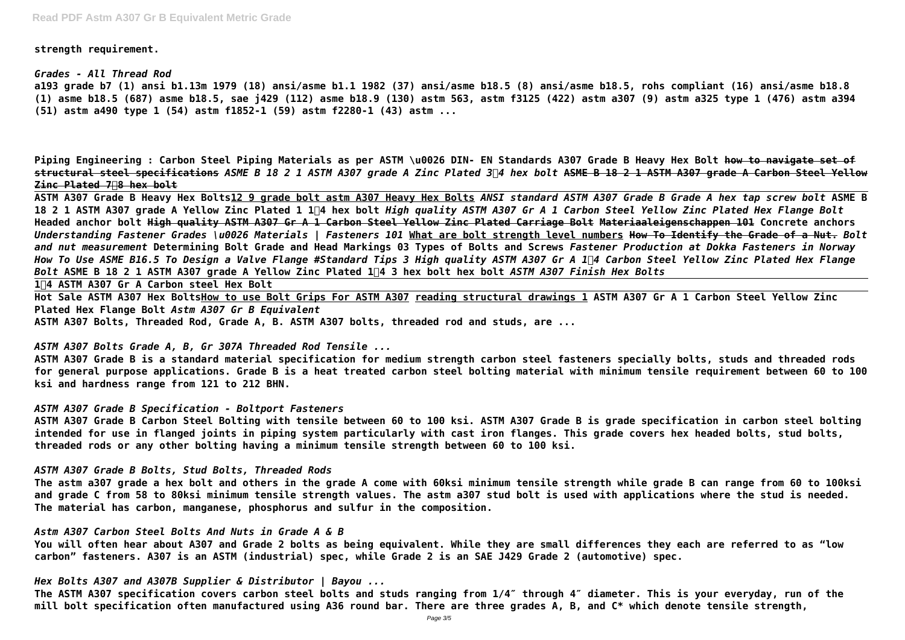**strength requirement.**

*Grades - All Thread Rod* **a193 grade b7 (1) ansi b1.13m 1979 (18) ansi/asme b1.1 1982 (37) ansi/asme b18.5 (8) ansi/asme b18.5, rohs compliant (16) ansi/asme b18.8 (1) asme b18.5 (687) asme b18.5, sae j429 (112) asme b18.9 (130) astm 563, astm f3125 (422) astm a307 (9) astm a325 type 1 (476) astm a394 (51) astm a490 type 1 (54) astm f1852-1 (59) astm f2280-1 (43) astm ...**

**Piping Engineering : Carbon Steel Piping Materials as per ASTM \u0026 DIN- EN Standards A307 Grade B Heavy Hex Bolt how to navigate set of structural steel specifications** *ASME B 18 2 1 ASTM A307 grade A Zinc Plated 3/4 hex bolt* **ASME B 18 2 1 ASTM A307 grade A Carbon Steel Yellow Zinc Plated 7/8 hex bolt**

**ASTM A307 Grade B Heavy Hex Bolts12 9 grade bolt astm A307 Heavy Hex Bolts** *ANSI standard ASTM A307 Grade B Grade A hex tap screw bolt* **ASME B 18 2 1 ASTM A307 grade A Yellow Zinc Plated 1 1/4 hex bolt** *High quality ASTM A307 Gr A 1 Carbon Steel Yellow Zinc Plated Hex Flange Bolt* **Headed anchor bolt High quality ASTM A307 Gr A 1 Carbon Steel Yellow Zinc Plated Carriage Bolt Materiaaleigenschappen 101 Concrete anchors** *Understanding Fastener Grades \u0026 Materials | Fasteners 101* **What are bolt strength level numbers How To Identify the Grade of a Nut.** *Bolt and nut measurement* **Determining Bolt Grade and Head Markings 03 Types of Bolts and Screws** *Fastener Production at Dokka Fasteners in Norway How To Use ASME B16.5 To Design a Valve Flange #Standard Tips 3 High quality ASTM A307 Gr A 1/4 Carbon Steel Yellow Zinc Plated Hex Flange Bolt* **ASME B 18 2 1 ASTM A307 grade A Yellow Zinc Plated 1/4 3 hex bolt hex bolt** *ASTM A307 Finish Hex Bolts*

**1/4 ASTM A307 Gr A Carbon steel Hex Bolt**

**Hot Sale ASTM A307 Hex BoltsHow to use Bolt Grips For ASTM A307 reading structural drawings 1 ASTM A307 Gr A 1 Carbon Steel Yellow Zinc Plated Hex Flange Bolt** *Astm A307 Gr B Equivalent*

**ASTM A307 Bolts, Threaded Rod, Grade A, B. ASTM A307 bolts, threaded rod and studs, are ...**

*ASTM A307 Bolts Grade A, B, Gr 307A Threaded Rod Tensile ...*

**ASTM A307 Grade B is a standard material specification for medium strength carbon steel fasteners specially bolts, studs and threaded rods for general purpose applications. Grade B is a heat treated carbon steel bolting material with minimum tensile requirement between 60 to 100 ksi and hardness range from 121 to 212 BHN.**

# *ASTM A307 Grade B Specification - Boltport Fasteners*

**ASTM A307 Grade B Carbon Steel Bolting with tensile between 60 to 100 ksi. ASTM A307 Grade B is grade specification in carbon steel bolting intended for use in flanged joints in piping system particularly with cast iron flanges. This grade covers hex headed bolts, stud bolts, threaded rods or any other bolting having a minimum tensile strength between 60 to 100 ksi.**

# *ASTM A307 Grade B Bolts, Stud Bolts, Threaded Rods*

**The astm a307 grade a hex bolt and others in the grade A come with 60ksi minimum tensile strength while grade B can range from 60 to 100ksi and grade C from 58 to 80ksi minimum tensile strength values. The astm a307 stud bolt is used with applications where the stud is needed. The material has carbon, manganese, phosphorus and sulfur in the composition.**

*Astm A307 Carbon Steel Bolts And Nuts in Grade A & B*

**You will often hear about A307 and Grade 2 bolts as being equivalent. While they are small differences they each are referred to as "low carbon" fasteners. A307 is an ASTM (industrial) spec, while Grade 2 is an SAE J429 Grade 2 (automotive) spec.**

*Hex Bolts A307 and A307B Supplier & Distributor | Bayou ...*

**The ASTM A307 specification covers carbon steel bolts and studs ranging from 1/4″ through 4″ diameter. This is your everyday, run of the mill bolt specification often manufactured using A36 round bar. There are three grades A, B, and C\* which denote tensile strength,**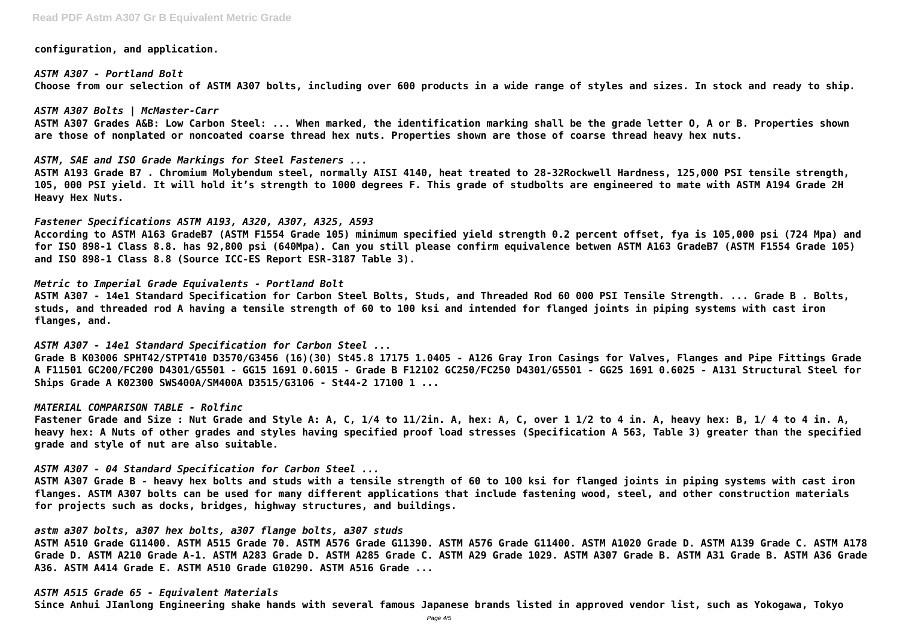**configuration, and application.**

*ASTM A307 - Portland Bolt* **Choose from our selection of ASTM A307 bolts, including over 600 products in a wide range of styles and sizes. In stock and ready to ship.**

*ASTM A307 Bolts | McMaster-Carr* **ASTM A307 Grades A&B: Low Carbon Steel: ... When marked, the identification marking shall be the grade letter O, A or B. Properties shown are those of nonplated or noncoated coarse thread hex nuts. Properties shown are those of coarse thread heavy hex nuts.**

*ASTM, SAE and ISO Grade Markings for Steel Fasteners ...* **ASTM A193 Grade B7 . Chromium Molybendum steel, normally AISI 4140, heat treated to 28-32Rockwell Hardness, 125,000 PSI tensile strength, 105, 000 PSI yield. It will hold it's strength to 1000 degrees F. This grade of studbolts are engineered to mate with ASTM A194 Grade 2H Heavy Hex Nuts.**

#### *Fastener Specifications ASTM A193, A320, A307, A325, A593*

**According to ASTM A163 GradeB7 (ASTM F1554 Grade 105) minimum specified yield strength 0.2 percent offset, fya is 105,000 psi (724 Mpa) and for ISO 898-1 Class 8.8. has 92,800 psi (640Mpa). Can you still please confirm equivalence betwen ASTM A163 GradeB7 (ASTM F1554 Grade 105) and ISO 898-1 Class 8.8 (Source ICC-ES Report ESR-3187 Table 3).**

#### *Metric to Imperial Grade Equivalents - Portland Bolt*

**ASTM A307 - 14e1 Standard Specification for Carbon Steel Bolts, Studs, and Threaded Rod 60 000 PSI Tensile Strength. ... Grade B . Bolts, studs, and threaded rod A having a tensile strength of 60 to 100 ksi and intended for flanged joints in piping systems with cast iron flanges, and.**

*ASTM A307 - 14e1 Standard Specification for Carbon Steel ...*

**Grade B K03006 SPHT42/STPT410 D3570/G3456 (16)(30) St45.8 17175 1.0405 - A126 Gray Iron Casings for Valves, Flanges and Pipe Fittings Grade A F11501 GC200/FC200 D4301/G5501 - GG15 1691 0.6015 - Grade B F12102 GC250/FC250 D4301/G5501 - GG25 1691 0.6025 - A131 Structural Steel for Ships Grade A K02300 SWS400A/SM400A D3515/G3106 - St44-2 17100 1 ...**

#### *MATERIAL COMPARISON TABLE - Rolfinc*

**Fastener Grade and Size : Nut Grade and Style A: A, C, 1/4 to 11/2in. A, hex: A, C, over 1 1/2 to 4 in. A, heavy hex: B, 1/ 4 to 4 in. A, heavy hex: A Nuts of other grades and styles having specified proof load stresses (Specification A 563, Table 3) greater than the specified grade and style of nut are also suitable.**

#### *ASTM A307 - 04 Standard Specification for Carbon Steel ...*

**ASTM A307 Grade B - heavy hex bolts and studs with a tensile strength of 60 to 100 ksi for flanged joints in piping systems with cast iron flanges. ASTM A307 bolts can be used for many different applications that include fastening wood, steel, and other construction materials for projects such as docks, bridges, highway structures, and buildings.**

# *astm a307 bolts, a307 hex bolts, a307 flange bolts, a307 studs*

**ASTM A510 Grade G11400. ASTM A515 Grade 70. ASTM A576 Grade G11390. ASTM A576 Grade G11400. ASTM A1020 Grade D. ASTM A139 Grade C. ASTM A178 Grade D. ASTM A210 Grade A-1. ASTM A283 Grade D. ASTM A285 Grade C. ASTM A29 Grade 1029. ASTM A307 Grade B. ASTM A31 Grade B. ASTM A36 Grade A36. ASTM A414 Grade E. ASTM A510 Grade G10290. ASTM A516 Grade ...**

# *ASTM A515 Grade 65 - Equivalent Materials*

**Since Anhui JIanlong Engineering shake hands with several famous Japanese brands listed in approved vendor list, such as Yokogawa, Tokyo**